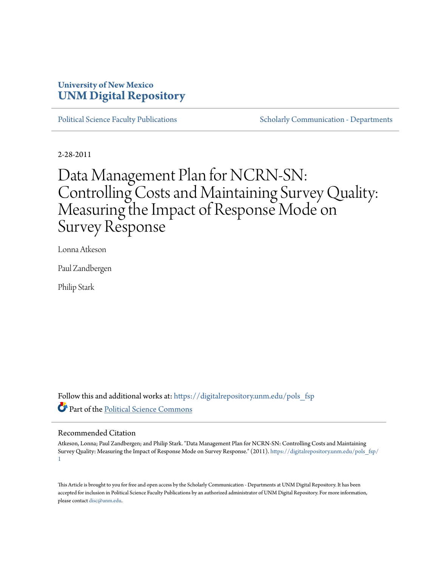## **University of New Mexico [UNM Digital Repository](https://digitalrepository.unm.edu?utm_source=digitalrepository.unm.edu%2Fpols_fsp%2F1&utm_medium=PDF&utm_campaign=PDFCoverPages)**

[Political Science Faculty Publications](https://digitalrepository.unm.edu/pols_fsp?utm_source=digitalrepository.unm.edu%2Fpols_fsp%2F1&utm_medium=PDF&utm_campaign=PDFCoverPages) [Scholarly Communication - Departments](https://digitalrepository.unm.edu/departments?utm_source=digitalrepository.unm.edu%2Fpols_fsp%2F1&utm_medium=PDF&utm_campaign=PDFCoverPages)

2-28-2011

## Data Management Plan for NCRN-SN: Controlling Costs and Maintaining Survey Quality: Measuring the Impact of Response Mode on Survey Response

Lonna Atkeson

Paul Zandbergen

Philip Stark

Follow this and additional works at: [https://digitalrepository.unm.edu/pols\\_fsp](https://digitalrepository.unm.edu/pols_fsp?utm_source=digitalrepository.unm.edu%2Fpols_fsp%2F1&utm_medium=PDF&utm_campaign=PDFCoverPages) Part of the [Political Science Commons](http://network.bepress.com/hgg/discipline/386?utm_source=digitalrepository.unm.edu%2Fpols_fsp%2F1&utm_medium=PDF&utm_campaign=PDFCoverPages)

## Recommended Citation

Atkeson, Lonna; Paul Zandbergen; and Philip Stark. "Data Management Plan for NCRN-SN: Controlling Costs and Maintaining Survey Quality: Measuring the Impact of Response Mode on Survey Response." (2011). [https://digitalrepository.unm.edu/pols\\_fsp/](https://digitalrepository.unm.edu/pols_fsp/1?utm_source=digitalrepository.unm.edu%2Fpols_fsp%2F1&utm_medium=PDF&utm_campaign=PDFCoverPages) [1](https://digitalrepository.unm.edu/pols_fsp/1?utm_source=digitalrepository.unm.edu%2Fpols_fsp%2F1&utm_medium=PDF&utm_campaign=PDFCoverPages)

This Article is brought to you for free and open access by the Scholarly Communication - Departments at UNM Digital Repository. It has been accepted for inclusion in Political Science Faculty Publications by an authorized administrator of UNM Digital Repository. For more information, please contact [disc@unm.edu.](mailto:disc@unm.edu)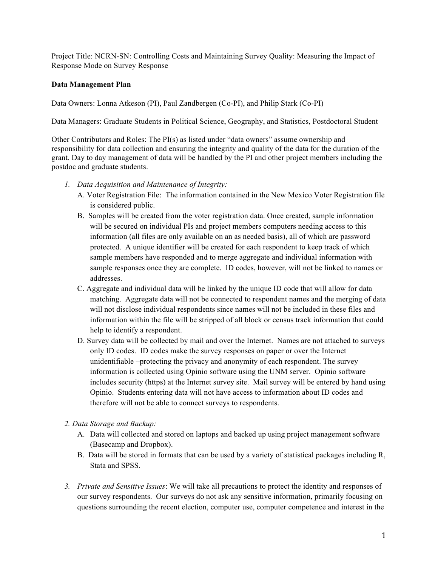Project Title: NCRN-SN: Controlling Costs and Maintaining Survey Quality: Measuring the Impact of Response Mode on Survey Response

## **Data Management Plan**

Data Owners: Lonna Atkeson (PI), Paul Zandbergen (Co-PI), and Philip Stark (Co-PI)

Data Managers: Graduate Students in Political Science, Geography, and Statistics, Postdoctoral Student

Other Contributors and Roles: The PI(s) as listed under "data owners" assume ownership and responsibility for data collection and ensuring the integrity and quality of the data for the duration of the grant. Day to day management of data will be handled by the PI and other project members including the postdoc and graduate students.

- *1. Data Acquisition and Maintenance of Integrity:* 
	- A. Voter Registration File: The information contained in the New Mexico Voter Registration file is considered public.
	- B. Samples will be created from the voter registration data. Once created, sample information will be secured on individual PIs and project members computers needing access to this information (all files are only available on an as needed basis), all of which are password protected. A unique identifier will be created for each respondent to keep track of which sample members have responded and to merge aggregate and individual information with sample responses once they are complete. ID codes, however, will not be linked to names or addresses.
	- C. Aggregate and individual data will be linked by the unique ID code that will allow for data matching. Aggregate data will not be connected to respondent names and the merging of data will not disclose individual respondents since names will not be included in these files and information within the file will be stripped of all block or census track information that could help to identify a respondent.
	- D. Survey data will be collected by mail and over the Internet. Names are not attached to surveys only ID codes. ID codes make the survey responses on paper or over the Internet unidentifiable –protecting the privacy and anonymity of each respondent. The survey information is collected using Opinio software using the UNM server. Opinio software includes security (https) at the Internet survey site. Mail survey will be entered by hand using Opinio. Students entering data will not have access to information about ID codes and therefore will not be able to connect surveys to respondents.
- *2. Data Storage and Backup:* 
	- A. Data will collected and stored on laptops and backed up using project management software (Basecamp and Dropbox).
	- B. Data will be stored in formats that can be used by a variety of statistical packages including R, Stata and SPSS.
- *3. Private and Sensitive Issues*: We will take all precautions to protect the identity and responses of our survey respondents. Our surveys do not ask any sensitive information, primarily focusing on questions surrounding the recent election, computer use, computer competence and interest in the